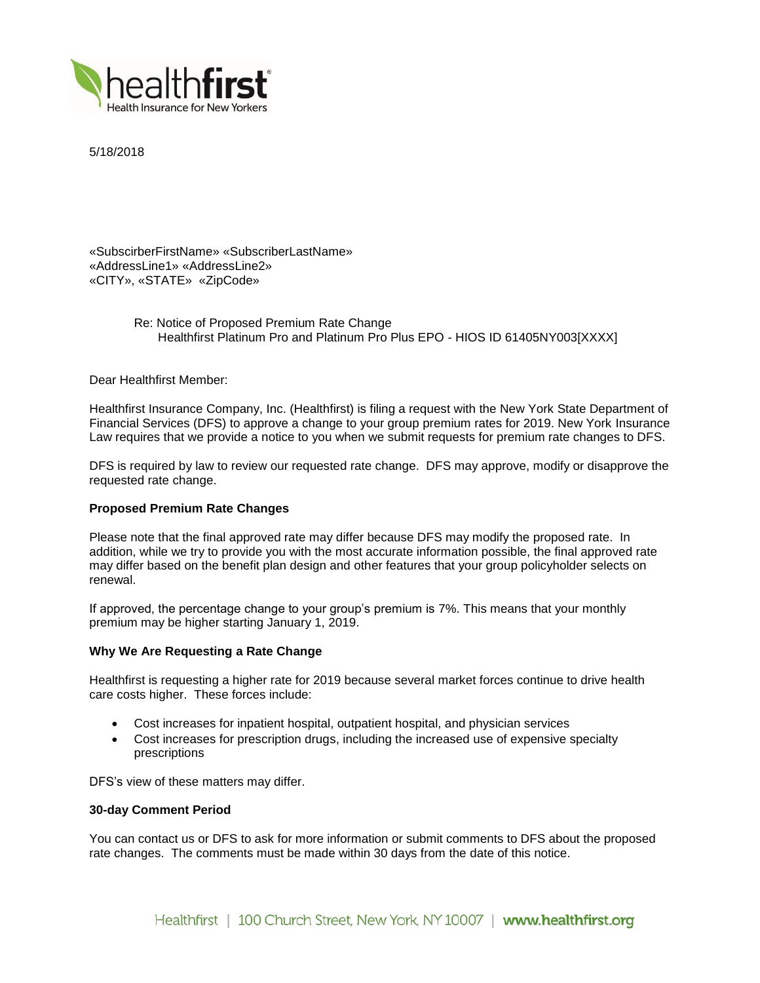

5/18/2018

«SubscirberFirstName» «SubscriberLastName» «AddressLine1» «AddressLine2» «CITY», «STATE» «ZipCode»

> Re: Notice of Proposed Premium Rate Change Healthfirst Platinum Pro and Platinum Pro Plus EPO - HIOS ID 61405NY003[XXXX]

Dear Healthfirst Member:

Healthfirst Insurance Company, Inc. (Healthfirst) is filing a request with the New York State Department of Financial Services (DFS) to approve a change to your group premium rates for 2019. New York Insurance Law requires that we provide a notice to you when we submit requests for premium rate changes to DFS.

DFS is required by law to review our requested rate change. DFS may approve, modify or disapprove the requested rate change.

#### **Proposed Premium Rate Changes**

Please note that the final approved rate may differ because DFS may modify the proposed rate. In addition, while we try to provide you with the most accurate information possible, the final approved rate may differ based on the benefit plan design and other features that your group policyholder selects on renewal.

If approved, the percentage change to your group's premium is 7%. This means that your monthly premium may be higher starting January 1, 2019.

## **Why We Are Requesting a Rate Change**

Healthfirst is requesting a higher rate for 2019 because several market forces continue to drive health care costs higher. These forces include:

- Cost increases for inpatient hospital, outpatient hospital, and physician services
- Cost increases for prescription drugs, including the increased use of expensive specialty prescriptions

DFS's view of these matters may differ.

#### **30-day Comment Period**

You can contact us or DFS to ask for more information or submit comments to DFS about the proposed rate changes. The comments must be made within 30 days from the date of this notice.